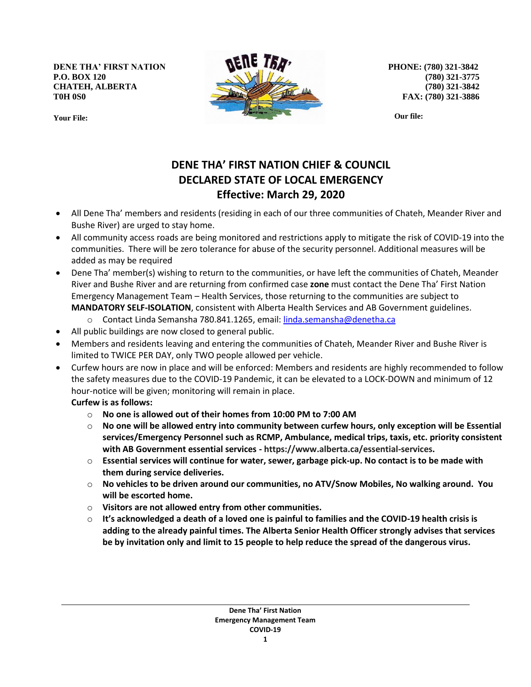**DENE THA' FIRST NATION P.O. BOX 120 CHATEH, ALBERTA T0H 0S0**





**PHONE: (780) 321-3842 (780) 321-3775 (780) 321-3842 FAX: (780) 321-3886**

**Our file:**

## **DENE THA' FIRST NATION CHIEF & COUNCIL DECLARED STATE OF LOCAL EMERGENCY Effective: March 29, 2020**

- All Dene Tha' members and residents (residing in each of our three communities of Chateh, Meander River and Bushe River) are urged to stay home.
- All community access roads are being monitored and restrictions apply to mitigate the risk of COVID-19 into the communities. There will be zero tolerance for abuse of the security personnel. Additional measures will be added as may be required
- Dene Tha' member(s) wishing to return to the communities, or have left the communities of Chateh, Meander River and Bushe River and are returning from confirmed case **zone** must contact the Dene Tha' First Nation Emergency Management Team – Health Services, those returning to the communities are subject to **MANDATORY SELF-ISOLATION**, consistent with Alberta Health Services and AB Government guidelines.
	- Contact Linda Semansha 780.841.1265, email: [linda.semansha@denetha.ca](mailto:linda.semansha@denetha.ca)
- All public buildings are now closed to general public.
- Members and residents leaving and entering the communities of Chateh, Meander River and Bushe River is limited to TWICE PER DAY, only TWO people allowed per vehicle.
- Curfew hours are now in place and will be enforced: Members and residents are highly recommended to follow the safety measures due to the COVID-19 Pandemic, it can be elevated to a LOCK-DOWN and minimum of 12 hour-notice will be given; monitoring will remain in place.

**Curfew is as follows:**

- o **No one is allowed out of their homes from 10:00 PM to 7:00 AM**
- o **No one will be allowed entry into community between curfew hours, only exception will be Essential services/Emergency Personnel such as RCMP, Ambulance, medical trips, taxis, etc. priority consistent with AB Government essential services - https://www.alberta.ca/essential-services.**
- o **Essential services will continue for water, sewer, garbage pick-up. No contact is to be made with them during service deliveries.**
- o **No vehicles to be driven around our communities, no ATV/Snow Mobiles, No walking around. You will be escorted home.**
- o **Visitors are not allowed entry from other communities.**
- o **It's acknowledged a death of a loved one is painful to families and the COVID-19 health crisis is adding to the already painful times. The Alberta Senior Health Officer strongly advises that services be by invitation only and limit to 15 people to help reduce the spread of the dangerous virus.**